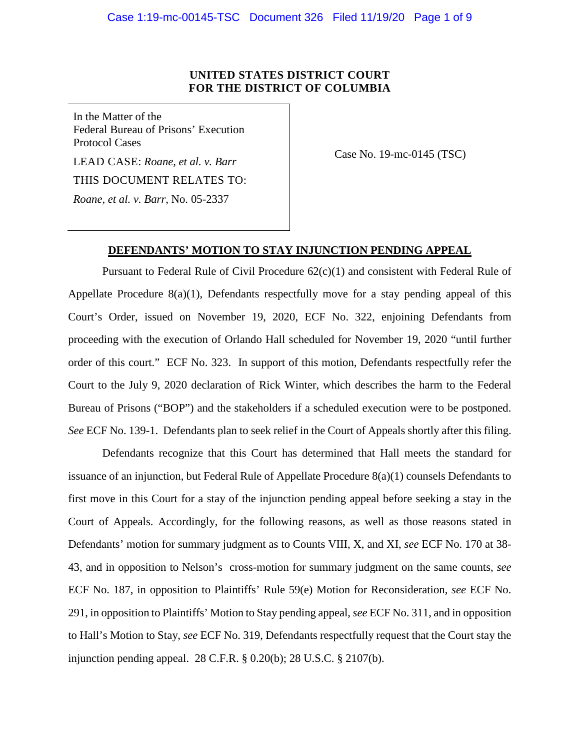## **UNITED STATES DISTRICT COURT FOR THE DISTRICT OF COLUMBIA**

In the Matter of the Federal Bureau of Prisons' Execution Protocol Cases LEAD CASE: *Roane, et al. v. Barr* THIS DOCUMENT RELATES TO: *Roane, et al. v. Barr*, No. 05-2337

Case No. 19-mc-0145 (TSC)

## **DEFENDANTS' MOTION TO STAY INJUNCTION PENDING APPEAL**

Pursuant to Federal Rule of Civil Procedure  $62(c)(1)$  and consistent with Federal Rule of Appellate Procedure 8(a)(1), Defendants respectfully move for a stay pending appeal of this Court's Order, issued on November 19, 2020, ECF No. 322, enjoining Defendants from proceeding with the execution of Orlando Hall scheduled for November 19, 2020 "until further order of this court." ECF No. 323. In support of this motion, Defendants respectfully refer the Court to the July 9, 2020 declaration of Rick Winter, which describes the harm to the Federal Bureau of Prisons ("BOP") and the stakeholders if a scheduled execution were to be postponed. *See* ECF No. 139-1. Defendants plan to seek relief in the Court of Appeals shortly after this filing.

Defendants recognize that this Court has determined that Hall meets the standard for issuance of an injunction, but Federal Rule of Appellate Procedure 8(a)(1) counsels Defendants to first move in this Court for a stay of the injunction pending appeal before seeking a stay in the Court of Appeals. Accordingly, for the following reasons, as well as those reasons stated in Defendants' motion for summary judgment as to Counts VIII, X, and XI, *see* ECF No. 170 at 38- 43, and in opposition to Nelson's cross-motion for summary judgment on the same counts, *see* ECF No. 187, in opposition to Plaintiffs' Rule 59(e) Motion for Reconsideration, *see* ECF No. 291, in opposition to Plaintiffs' Motion to Stay pending appeal, *see* ECF No. 311, and in opposition to Hall's Motion to Stay, *see* ECF No. 319, Defendants respectfully request that the Court stay the injunction pending appeal. 28 C.F.R. § 0.20(b); 28 U.S.C. § 2107(b).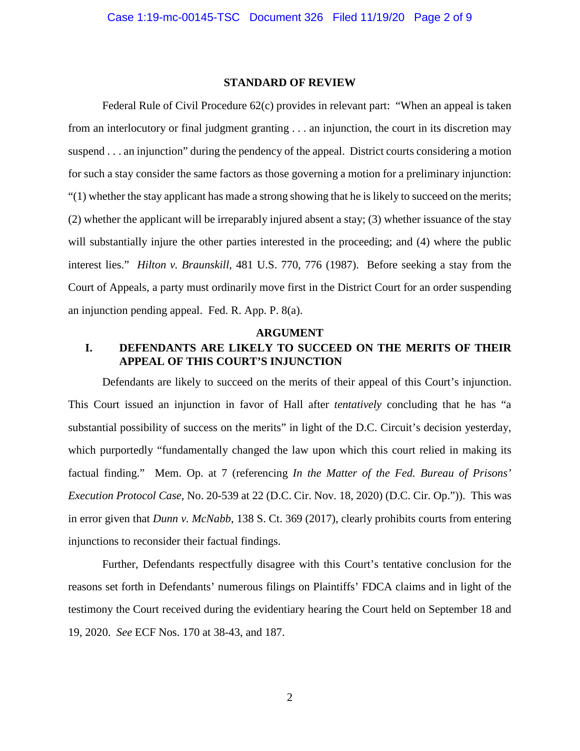#### **STANDARD OF REVIEW**

Federal Rule of Civil Procedure 62(c) provides in relevant part: "When an appeal is taken from an interlocutory or final judgment granting . . . an injunction, the court in its discretion may suspend . . . an injunction" during the pendency of the appeal. District courts considering a motion for such a stay consider the same factors as those governing a motion for a preliminary injunction:  $(1)$  whether the stay applicant has made a strong showing that he is likely to succeed on the merits; (2) whether the applicant will be irreparably injured absent a stay; (3) whether issuance of the stay will substantially injure the other parties interested in the proceeding; and (4) where the public interest lies." *Hilton v. Braunskill*, 481 U.S. 770, 776 (1987). Before seeking a stay from the Court of Appeals, a party must ordinarily move first in the District Court for an order suspending an injunction pending appeal. Fed. R. App. P. 8(a).

#### **ARGUMENT**

## **I. DEFENDANTS ARE LIKELY TO SUCCEED ON THE MERITS OF THEIR APPEAL OF THIS COURT'S INJUNCTION**

Defendants are likely to succeed on the merits of their appeal of this Court's injunction. This Court issued an injunction in favor of Hall after *tentatively* concluding that he has "a substantial possibility of success on the merits" in light of the D.C. Circuit's decision yesterday, which purportedly "fundamentally changed the law upon which this court relied in making its factual finding." Mem. Op. at 7 (referencing *In the Matter of the Fed. Bureau of Prisons' Execution Protocol Case*, No. 20-539 at 22 (D.C. Cir. Nov. 18, 2020) (D.C. Cir. Op.")). This was in error given that *Dunn v. McNabb*, 138 S. Ct. 369 (2017), clearly prohibits courts from entering injunctions to reconsider their factual findings.

Further, Defendants respectfully disagree with this Court's tentative conclusion for the reasons set forth in Defendants' numerous filings on Plaintiffs' FDCA claims and in light of the testimony the Court received during the evidentiary hearing the Court held on September 18 and 19, 2020. *See* ECF Nos. 170 at 38-43, and 187.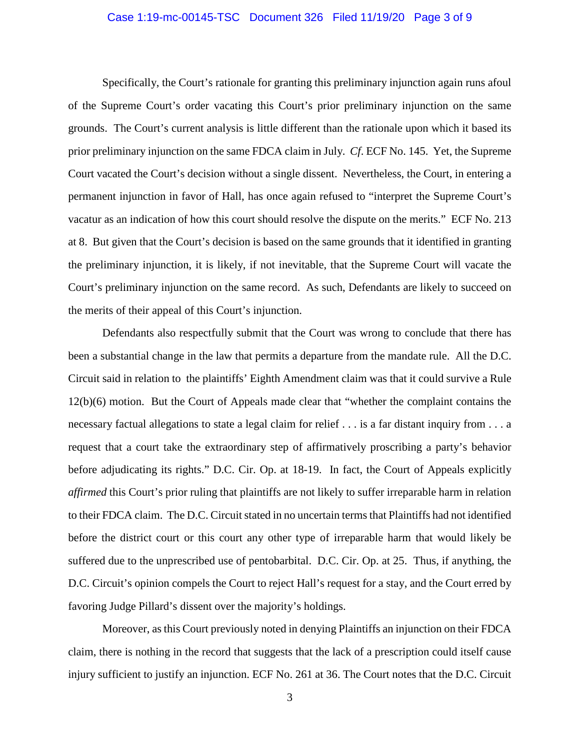### Case 1:19-mc-00145-TSC Document 326 Filed 11/19/20 Page 3 of 9

Specifically, the Court's rationale for granting this preliminary injunction again runs afoul of the Supreme Court's order vacating this Court's prior preliminary injunction on the same grounds. The Court's current analysis is little different than the rationale upon which it based its prior preliminary injunction on the same FDCA claim in July. *Cf*. ECF No. 145. Yet, the Supreme Court vacated the Court's decision without a single dissent. Nevertheless, the Court, in entering a permanent injunction in favor of Hall, has once again refused to "interpret the Supreme Court's vacatur as an indication of how this court should resolve the dispute on the merits." ECF No. 213 at 8. But given that the Court's decision is based on the same grounds that it identified in granting the preliminary injunction, it is likely, if not inevitable, that the Supreme Court will vacate the Court's preliminary injunction on the same record. As such, Defendants are likely to succeed on the merits of their appeal of this Court's injunction.

Defendants also respectfully submit that the Court was wrong to conclude that there has been a substantial change in the law that permits a departure from the mandate rule. All the D.C. Circuit said in relation to the plaintiffs' Eighth Amendment claim was that it could survive a Rule 12(b)(6) motion. But the Court of Appeals made clear that "whether the complaint contains the necessary factual allegations to state a legal claim for relief . . . is a far distant inquiry from . . . a request that a court take the extraordinary step of affirmatively proscribing a party's behavior before adjudicating its rights." D.C. Cir. Op. at 18-19. In fact, the Court of Appeals explicitly *affirmed* this Court's prior ruling that plaintiffs are not likely to suffer irreparable harm in relation to their FDCA claim. The D.C. Circuit stated in no uncertain terms that Plaintiffs had not identified before the district court or this court any other type of irreparable harm that would likely be suffered due to the unprescribed use of pentobarbital. D.C. Cir. Op. at 25. Thus, if anything, the D.C. Circuit's opinion compels the Court to reject Hall's request for a stay, and the Court erred by favoring Judge Pillard's dissent over the majority's holdings.

Moreover, as this Court previously noted in denying Plaintiffs an injunction on their FDCA claim, there is nothing in the record that suggests that the lack of a prescription could itself cause injury sufficient to justify an injunction. ECF No. 261 at 36. The Court notes that the D.C. Circuit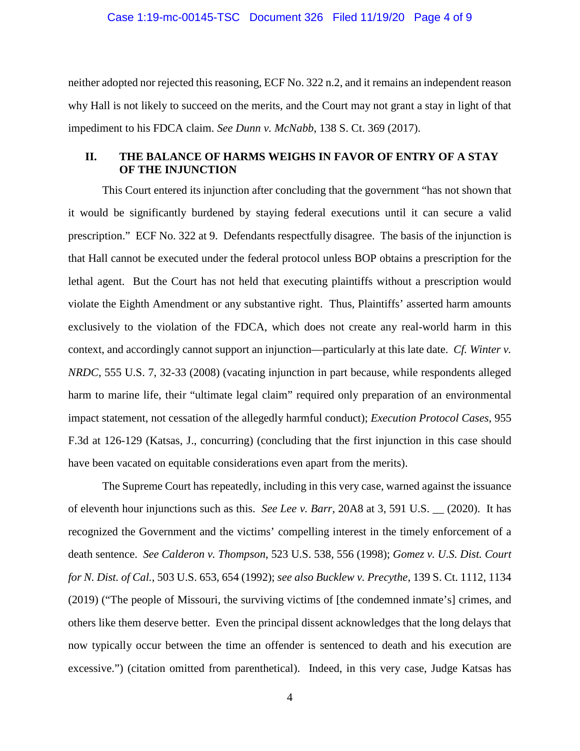neither adopted nor rejected this reasoning, ECF No. 322 n.2, and it remains an independent reason why Hall is not likely to succeed on the merits, and the Court may not grant a stay in light of that impediment to his FDCA claim. *See Dunn v. McNabb*, 138 S. Ct. 369 (2017).

# **II. THE BALANCE OF HARMS WEIGHS IN FAVOR OF ENTRY OF A STAY OF THE INJUNCTION**

This Court entered its injunction after concluding that the government "has not shown that it would be significantly burdened by staying federal executions until it can secure a valid prescription." ECF No. 322 at 9. Defendants respectfully disagree. The basis of the injunction is that Hall cannot be executed under the federal protocol unless BOP obtains a prescription for the lethal agent. But the Court has not held that executing plaintiffs without a prescription would violate the Eighth Amendment or any substantive right. Thus, Plaintiffs' asserted harm amounts exclusively to the violation of the FDCA, which does not create any real-world harm in this context, and accordingly cannot support an injunction—particularly at this late date. *Cf. Winter v. NRDC*, 555 U.S. 7, 32-33 (2008) (vacating injunction in part because, while respondents alleged harm to marine life, their "ultimate legal claim" required only preparation of an environmental impact statement, not cessation of the allegedly harmful conduct); *Execution Protocol Cases*, 955 F.3d at 126-129 (Katsas, J., concurring) (concluding that the first injunction in this case should have been vacated on equitable considerations even apart from the merits).

The Supreme Court has repeatedly, including in this very case, warned against the issuance of eleventh hour injunctions such as this. *See Lee v. Barr*, 20A8 at 3, 591 U.S. \_\_ (2020). It has recognized the Government and the victims' compelling interest in the timely enforcement of a death sentence. *See Calderon v. Thompson*, 523 U.S. 538, 556 (1998); *Gomez v. U.S. Dist. Court for N. Dist. of Cal.*, 503 U.S. 653, 654 (1992); *see also Bucklew v. Precythe*, 139 S. Ct. 1112, 1134 (2019) ("The people of Missouri, the surviving victims of [the condemned inmate's] crimes, and others like them deserve better. Even the principal dissent acknowledges that the long delays that now typically occur between the time an offender is sentenced to death and his execution are excessive.") (citation omitted from parenthetical). Indeed, in this very case, Judge Katsas has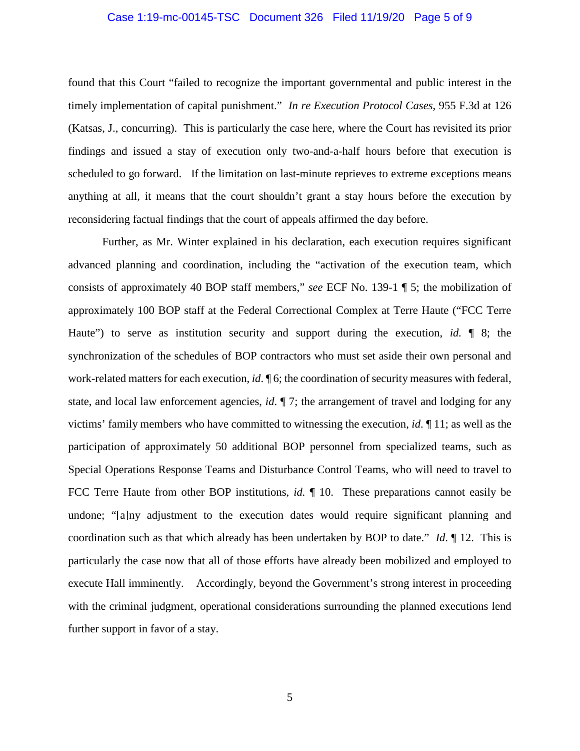### Case 1:19-mc-00145-TSC Document 326 Filed 11/19/20 Page 5 of 9

found that this Court "failed to recognize the important governmental and public interest in the timely implementation of capital punishment." *In re Execution Protocol Cases*, 955 F.3d at 126 (Katsas, J., concurring). This is particularly the case here, where the Court has revisited its prior findings and issued a stay of execution only two-and-a-half hours before that execution is scheduled to go forward. If the limitation on last-minute reprieves to extreme exceptions means anything at all, it means that the court shouldn't grant a stay hours before the execution by reconsidering factual findings that the court of appeals affirmed the day before.

Further, as Mr. Winter explained in his declaration, each execution requires significant advanced planning and coordination, including the "activation of the execution team, which consists of approximately 40 BOP staff members," *see* ECF No. 139-1 ¶ 5; the mobilization of approximately 100 BOP staff at the Federal Correctional Complex at Terre Haute ("FCC Terre Haute") to serve as institution security and support during the execution, *id.* ¶ 8; the synchronization of the schedules of BOP contractors who must set aside their own personal and work-related matters for each execution, *id*. ¶ 6; the coordination of security measures with federal, state, and local law enforcement agencies, *id*. ¶ 7; the arrangement of travel and lodging for any victims' family members who have committed to witnessing the execution, *id*. ¶ 11; as well as the participation of approximately 50 additional BOP personnel from specialized teams, such as Special Operations Response Teams and Disturbance Control Teams, who will need to travel to FCC Terre Haute from other BOP institutions, *id.* ¶ 10. These preparations cannot easily be undone; "[a]ny adjustment to the execution dates would require significant planning and coordination such as that which already has been undertaken by BOP to date." *Id*. ¶ 12. This is particularly the case now that all of those efforts have already been mobilized and employed to execute Hall imminently. Accordingly, beyond the Government's strong interest in proceeding with the criminal judgment, operational considerations surrounding the planned executions lend further support in favor of a stay.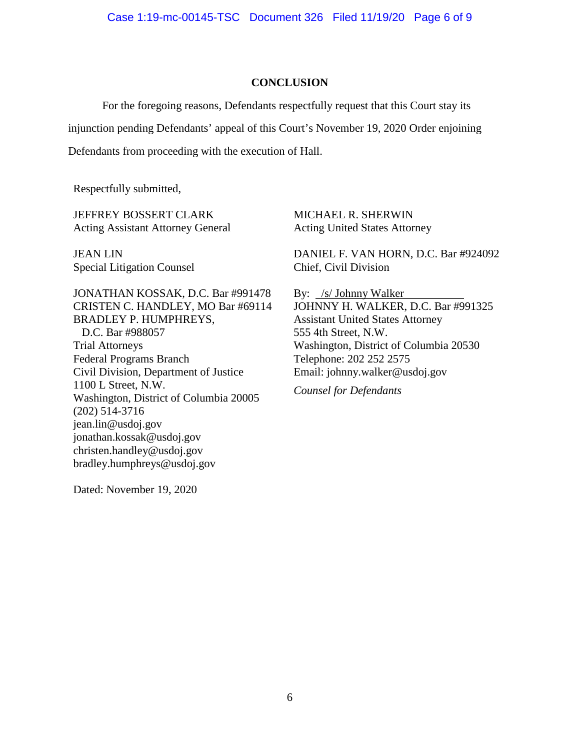### **CONCLUSION**

For the foregoing reasons, Defendants respectfully request that this Court stay its injunction pending Defendants' appeal of this Court's November 19, 2020 Order enjoining Defendants from proceeding with the execution of Hall.

Respectfully submitted,

JEFFREY BOSSERT CLARK Acting Assistant Attorney General

JEAN LIN Special Litigation Counsel

JONATHAN KOSSAK, D.C. Bar #991478 CRISTEN C. HANDLEY, MO Bar #69114 BRADLEY P. HUMPHREYS, D.C. Bar #988057 Trial Attorneys Federal Programs Branch Civil Division, Department of Justice 1100 L Street, N.W. Washington, District of Columbia 20005 (202) 514-3716 jean.lin@usdoj.gov jonathan.kossak@usdoj.gov christen.handley@usdoj.gov bradley.humphreys@usdoj.gov

MICHAEL R. SHERWIN Acting United States Attorney

DANIEL F. VAN HORN, D.C. Bar #924092 Chief, Civil Division

By: /s/ Johnny Walker JOHNNY H. WALKER, D.C. Bar #991325 Assistant United States Attorney 555 4th Street, N.W. Washington, District of Columbia 20530 Telephone: 202 252 2575 Email: johnny.walker@usdoj.gov

*Counsel for Defendants*

Dated: November 19, 2020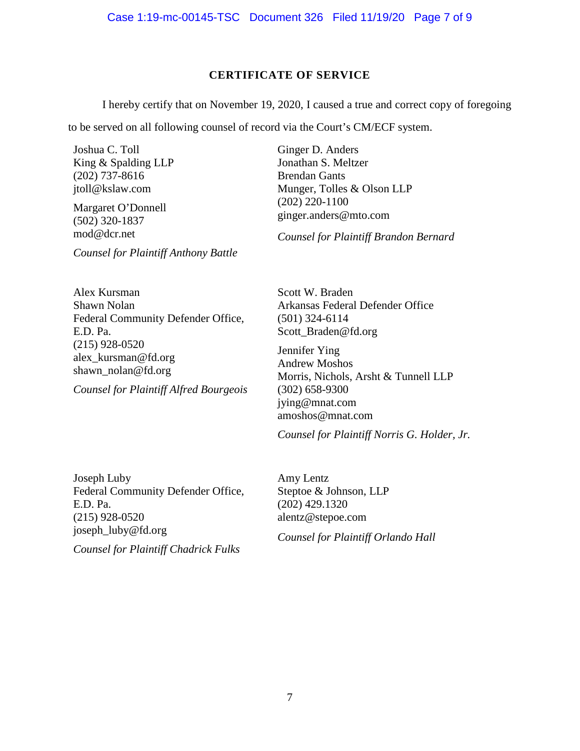# **CERTIFICATE OF SERVICE**

I hereby certify that on November 19, 2020, I caused a true and correct copy of foregoing

to be served on all following counsel of record via the Court's CM/ECF system.

Joshua C. Toll King & Spalding LLP (202) 737-8616 [jtoll@kslaw.com](mailto:jtoll@kslaw.com)

Margaret O'Donnell (502) 320-1837 mod@dcr.net

*Counsel for Plaintiff Anthony Battle*

Ginger D. Anders Jonathan S. Meltzer Brendan Gants Munger, Tolles & Olson LLP (202) 220-1100 ginger.anders@mto.com

*Counsel for Plaintiff Brandon Bernard*

Alex Kursman Shawn Nolan Federal Community Defender Office, E.D. Pa. (215) 928-0520 alex\_kursman@fd.org shawn\_nolan@fd.org

*Counsel for Plaintiff Alfred Bourgeois*

Scott W. Braden Arkansas Federal Defender Office (501) 324-6114 [Scott\\_Braden@fd.org](mailto:Scott_Braden@fd.org)

Jennifer Ying Andrew Moshos Morris, Nichols, Arsht & Tunnell LLP (302) 658-9300 [jying@mnat.com](mailto:jying@mnat.com) [amoshos@mnat.com](mailto:amoshos@mnat.com)

*Counsel for Plaintiff Norris G. Holder, Jr.*

Joseph Luby Federal Community Defender Office, E.D. Pa. (215) 928-0520 joseph\_luby@fd.org

*Counsel for Plaintiff Chadrick Fulks*

Amy Lentz Steptoe & Johnson, LLP (202) 429.1320 alentz@stepoe.com

*Counsel for Plaintiff Orlando Hall*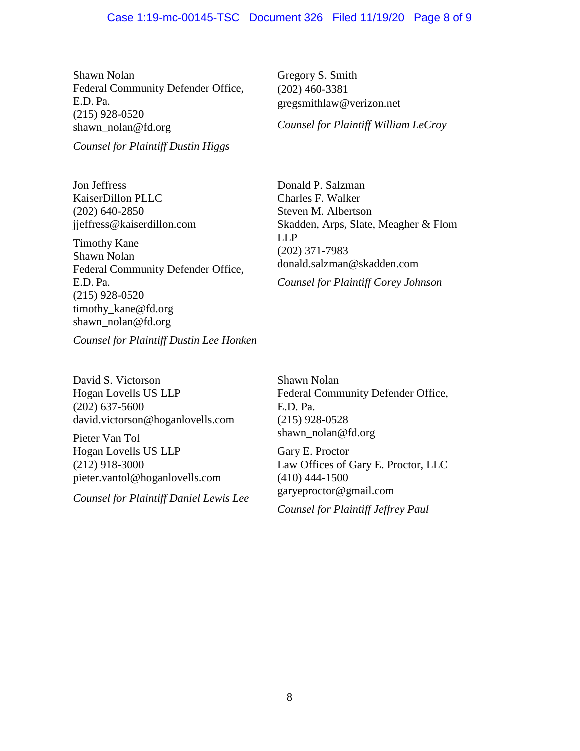Shawn Nolan Federal Community Defender Office, E.D. Pa. (215) 928-0520 [shawn\\_nolan@fd.org](mailto:shawn_nolan@fd.org)

*Counsel for Plaintiff Dustin Higgs*

Jon Jeffress KaiserDillon PLLC (202) 640-2850 [jjeffress@kaiserdillon.com](mailto:jjeffress@kaiserdillon.com)

Timothy Kane Shawn Nolan Federal Community Defender Office, E.D. Pa. (215) 928-0520 timothy\_kane@fd.org [shawn\\_nolan@fd.org](mailto:shawn_nolan@fd.org)

Gregory S. Smith (202) 460-3381 gregsmithlaw@verizon.net

*Counsel for Plaintiff William LeCroy*

Donald P. Salzman Charles F. Walker Steven M. Albertson Skadden, Arps, Slate, Meagher & Flom LLP (202) 371-7983 [donald.salzman@skadden.com](mailto:donald.salzman@skadden.com)

*Counsel for Plaintiff Corey Johnson*

*Counsel for Plaintiff Dustin Lee Honken*

David S. Victorson Hogan Lovells US LLP (202) 637-5600 [david.victorson@hoganlovells.com](mailto:david.victorson@hoganlovells.com)

Pieter Van Tol Hogan Lovells US LLP (212) 918-3000 [pieter.vantol@hoganlovells.com](mailto:pieter.vantol@hoganlovells.com)

*Counsel for Plaintiff Daniel Lewis Lee*

Shawn Nolan Federal Community Defender Office, E.D. Pa. (215) 928-0528 [shawn\\_nolan@fd.org](mailto:shawn_nolan@fd.org)

Gary E. Proctor Law Offices of Gary E. Proctor, LLC (410) 444-1500 garyeproctor@gmail.com

*Counsel for Plaintiff Jeffrey Paul*